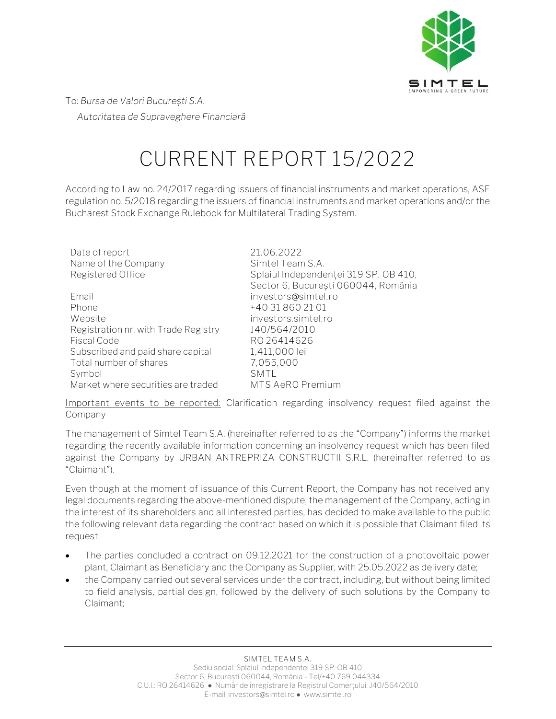

To: *Bursa de Valori București S.A. Autoritatea de Supraveghere Financiară* 

## **CURRENT REPORT 15/2022**

According to Law no. 24/2017 regarding issuers of financial instruments and market operations, ASF regulation no. 5/2018 regarding the issuers of financial instruments and market operations and/or the Bucharest Stock Exchange Rulebook for Multilateral Trading System.

| Date of report                       | 21.06.2022                            |
|--------------------------------------|---------------------------------------|
| Name of the Company                  | Simtel Team S.A.                      |
| Registered Office                    | Splaiul Independenței 319 SP. OB 410, |
|                                      | Sector 6, București 060044, România   |
| Email                                | investors@simtel.ro                   |
| Phone                                | +40 31 860 21 01                      |
| Website                              | investors.simtel.ro                   |
| Registration nr. with Trade Registry | J40/564/2010                          |
| <b>Fiscal Code</b>                   | RO 26414626                           |
| Subscribed and paid share capital    | 1,411,000 lei                         |
| Total number of shares               | 7,055,000                             |
| Symbol                               | SMTL                                  |
| Market where securities are traded   | MTS AeRO Premium                      |

**Important events to be reported:** Clarification regarding insolvency request filed against the Company

The management of Simtel Team S.A. (hereinafter referred to as the "Company") informs the market regarding the recently available information concerning an insolvency request which has been filed against the Company by URBAN ANTREPRIZA CONSTRUCTII S.R.L. (hereinafter referred to as "Claimant").

Even though at the moment of issuance of this Current Report, the Company has not received any legal documents regarding the above-mentioned dispute, the management of the Company, acting in the interest of its shareholders and all interested parties, has decided to make available to the public the following relevant data regarding the contract based on which it is possible that Claimant filed its request:

- The parties concluded a contract on 09.12.2021 for the construction of a photovoltaic power plant, Claimant as Beneficiary and the Company as Supplier, with 25.05.2022 as delivery date;
- the Company carried out several services under the contract, including, but without being limited to field analysis, partial design, followed by the delivery of such solutions by the Company to Claimant;